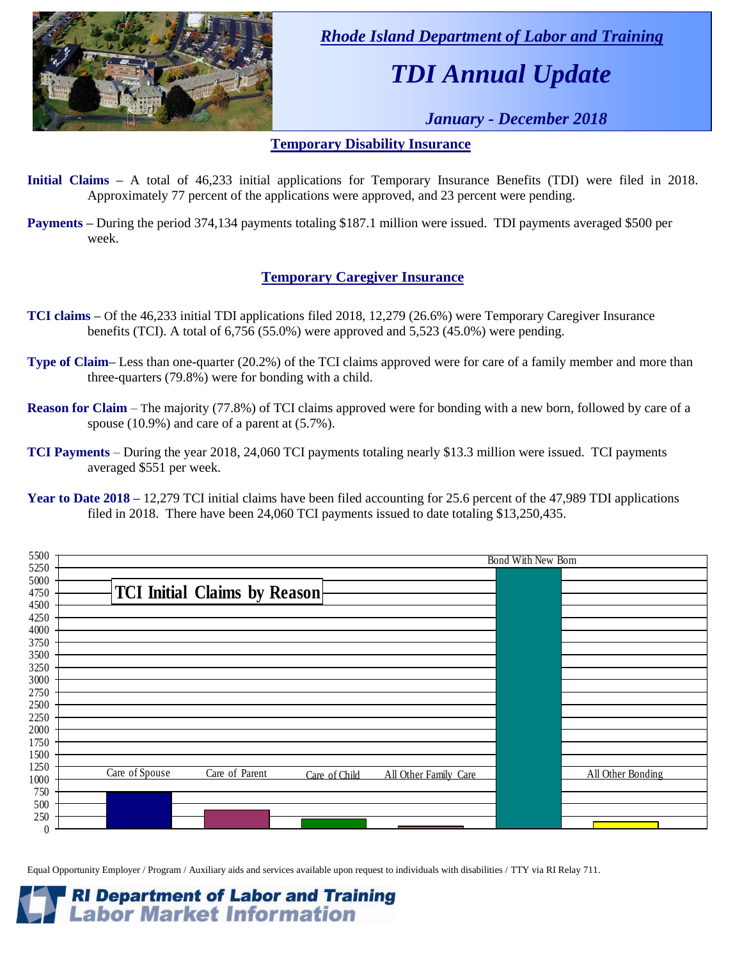

 *Rhode Island Department of Labor and Training*

# *TDI Annual Update*

 *January - December 2018*

### **Temporary Disability Insurance**

- **Initial Claims –** A total of 46,233 initial applications for Temporary Insurance Benefits (TDI) were filed in 2018. Approximately 77 percent of the applications were approved, and 23 percent were pending.
- **Payments –** During the period 374,134 payments totaling \$187.1 million were issued. TDI payments averaged \$500 per week.

### **Temporary Caregiver Insurance**

- **TCI claims –** Of the 46,233 initial TDI applications filed 2018, 12,279 (26.6%) were Temporary Caregiver Insurance benefits (TCI). A total of 6,756 (55.0%) were approved and 5,523 (45.0%) were pending.
- **Type of Claim–** Less than one-quarter (20.2%) of the TCI claims approved were for care of a family member and more than three-quarters (79.8%) were for bonding with a child.
- **Reason for Claim** The majority (77.8%) of TCI claims approved were for bonding with a new born, followed by care of a spouse (10.9%) and care of a parent at (5.7%).
- **TCI Payments** During the year 2018, 24,060 TCI payments totaling nearly \$13.3 million were issued. TCI payments averaged \$551 per week.

| 5500<br>5250     | Bond With New Born                     |                   |  |  |  |  |  |
|------------------|----------------------------------------|-------------------|--|--|--|--|--|
| 5000             |                                        |                   |  |  |  |  |  |
| 4750             | <b>TCI Initial Claims by Reason</b>    |                   |  |  |  |  |  |
| 4500             |                                        |                   |  |  |  |  |  |
| 4250<br>4000     |                                        |                   |  |  |  |  |  |
| 3750             |                                        |                   |  |  |  |  |  |
| 3500             |                                        |                   |  |  |  |  |  |
| 3250             |                                        |                   |  |  |  |  |  |
| 3000<br>2750     |                                        |                   |  |  |  |  |  |
| 2500             |                                        |                   |  |  |  |  |  |
| 2250             |                                        |                   |  |  |  |  |  |
| 2000             |                                        |                   |  |  |  |  |  |
| 1750<br>1500     |                                        |                   |  |  |  |  |  |
| 1250             | Care of Spouse<br>Care of Parent       |                   |  |  |  |  |  |
| 1000             | All Other Family Care<br>Care of Child | All Other Bonding |  |  |  |  |  |
| 750<br>500       |                                        |                   |  |  |  |  |  |
| 250              |                                        |                   |  |  |  |  |  |
| $\boldsymbol{0}$ |                                        |                   |  |  |  |  |  |

Equal Opportunity Employer / Program / Auxiliary aids and services available upon request to individuals with disabilities / TTY via RI Relay 711.



**Year to Date 2018 –** 12,279 TCI initial claims have been filed accounting for 25.6 percent of the 47,989 TDI applications filed in 2018. There have been 24,060 TCI payments issued to date totaling \$13,250,435.